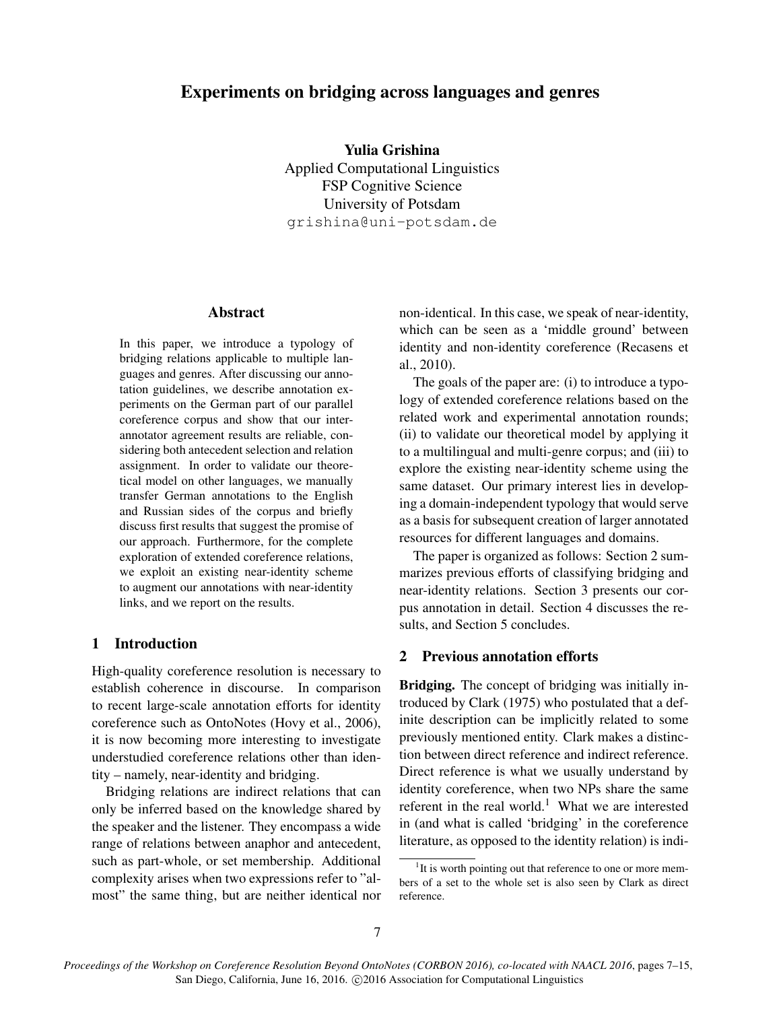# Experiments on bridging across languages and genres

Yulia Grishina Applied Computational Linguistics FSP Cognitive Science University of Potsdam grishina@uni-potsdam.de

#### Abstract

In this paper, we introduce a typology of bridging relations applicable to multiple languages and genres. After discussing our annotation guidelines, we describe annotation experiments on the German part of our parallel coreference corpus and show that our interannotator agreement results are reliable, considering both antecedent selection and relation assignment. In order to validate our theoretical model on other languages, we manually transfer German annotations to the English and Russian sides of the corpus and briefly discuss first results that suggest the promise of our approach. Furthermore, for the complete exploration of extended coreference relations, we exploit an existing near-identity scheme to augment our annotations with near-identity links, and we report on the results.

# 1 Introduction

High-quality coreference resolution is necessary to establish coherence in discourse. In comparison to recent large-scale annotation efforts for identity coreference such as OntoNotes (Hovy et al., 2006), it is now becoming more interesting to investigate understudied coreference relations other than identity – namely, near-identity and bridging.

Bridging relations are indirect relations that can only be inferred based on the knowledge shared by the speaker and the listener. They encompass a wide range of relations between anaphor and antecedent, such as part-whole, or set membership. Additional complexity arises when two expressions refer to "almost" the same thing, but are neither identical nor non-identical. In this case, we speak of near-identity, which can be seen as a 'middle ground' between identity and non-identity coreference (Recasens et al., 2010).

The goals of the paper are: (i) to introduce a typology of extended coreference relations based on the related work and experimental annotation rounds; (ii) to validate our theoretical model by applying it to a multilingual and multi-genre corpus; and (iii) to explore the existing near-identity scheme using the same dataset. Our primary interest lies in developing a domain-independent typology that would serve as a basis for subsequent creation of larger annotated resources for different languages and domains.

The paper is organized as follows: Section 2 summarizes previous efforts of classifying bridging and near-identity relations. Section 3 presents our corpus annotation in detail. Section 4 discusses the results, and Section 5 concludes.

## 2 Previous annotation efforts

Bridging. The concept of bridging was initially introduced by Clark (1975) who postulated that a definite description can be implicitly related to some previously mentioned entity. Clark makes a distinction between direct reference and indirect reference. Direct reference is what we usually understand by identity coreference, when two NPs share the same referent in the real world.<sup>1</sup> What we are interested in (and what is called 'bridging' in the coreference literature, as opposed to the identity relation) is indi-

<sup>&</sup>lt;sup>1</sup>It is worth pointing out that reference to one or more members of a set to the whole set is also seen by Clark as direct reference.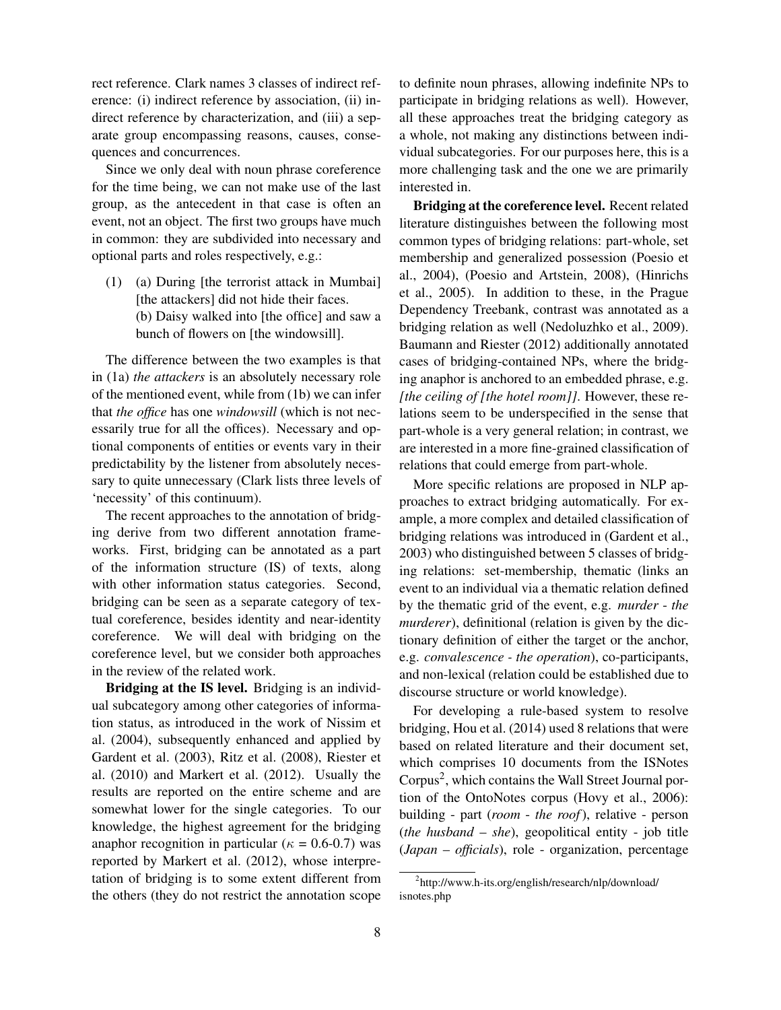rect reference. Clark names 3 classes of indirect reference: (i) indirect reference by association, (ii) indirect reference by characterization, and (iii) a separate group encompassing reasons, causes, consequences and concurrences.

Since we only deal with noun phrase coreference for the time being, we can not make use of the last group, as the antecedent in that case is often an event, not an object. The first two groups have much in common: they are subdivided into necessary and optional parts and roles respectively, e.g.:

(1) (a) During [the terrorist attack in Mumbai] [the attackers] did not hide their faces. (b) Daisy walked into [the office] and saw a bunch of flowers on [the windowsill].

The difference between the two examples is that in (1a) *the attackers* is an absolutely necessary role of the mentioned event, while from (1b) we can infer that *the office* has one *windowsill* (which is not necessarily true for all the offices). Necessary and optional components of entities or events vary in their predictability by the listener from absolutely necessary to quite unnecessary (Clark lists three levels of 'necessity' of this continuum).

The recent approaches to the annotation of bridging derive from two different annotation frameworks. First, bridging can be annotated as a part of the information structure (IS) of texts, along with other information status categories. Second, bridging can be seen as a separate category of textual coreference, besides identity and near-identity coreference. We will deal with bridging on the coreference level, but we consider both approaches in the review of the related work.

Bridging at the IS level. Bridging is an individual subcategory among other categories of information status, as introduced in the work of Nissim et al. (2004), subsequently enhanced and applied by Gardent et al. (2003), Ritz et al. (2008), Riester et al. (2010) and Markert et al. (2012). Usually the results are reported on the entire scheme and are somewhat lower for the single categories. To our knowledge, the highest agreement for the bridging anaphor recognition in particular ( $\kappa = 0.6$ -0.7) was reported by Markert et al. (2012), whose interpretation of bridging is to some extent different from the others (they do not restrict the annotation scope to definite noun phrases, allowing indefinite NPs to participate in bridging relations as well). However, all these approaches treat the bridging category as a whole, not making any distinctions between individual subcategories. For our purposes here, this is a more challenging task and the one we are primarily interested in.

Bridging at the coreference level. Recent related literature distinguishes between the following most common types of bridging relations: part-whole, set membership and generalized possession (Poesio et al., 2004), (Poesio and Artstein, 2008), (Hinrichs et al., 2005). In addition to these, in the Prague Dependency Treebank, contrast was annotated as a bridging relation as well (Nedoluzhko et al., 2009). Baumann and Riester (2012) additionally annotated cases of bridging-contained NPs, where the bridging anaphor is anchored to an embedded phrase, e.g. *[the ceiling of [the hotel room]]*. However, these relations seem to be underspecified in the sense that part-whole is a very general relation; in contrast, we are interested in a more fine-grained classification of relations that could emerge from part-whole.

More specific relations are proposed in NLP approaches to extract bridging automatically. For example, a more complex and detailed classification of bridging relations was introduced in (Gardent et al., 2003) who distinguished between 5 classes of bridging relations: set-membership, thematic (links an event to an individual via a thematic relation defined by the thematic grid of the event, e.g. *murder* - *the murderer*), definitional (relation is given by the dictionary definition of either the target or the anchor, e.g. *convalescence - the operation*), co-participants, and non-lexical (relation could be established due to discourse structure or world knowledge).

For developing a rule-based system to resolve bridging, Hou et al. (2014) used 8 relations that were based on related literature and their document set, which comprises 10 documents from the ISNotes Corpus<sup>2</sup>, which contains the Wall Street Journal portion of the OntoNotes corpus (Hovy et al., 2006): building - part (*room* - *the roof*), relative - person (*the husband* – *she*), geopolitical entity - job title (*Japan* – *officials*), role - organization, percentage

<sup>2</sup> http://www.h-its.org/english/research/nlp/download/ isnotes.php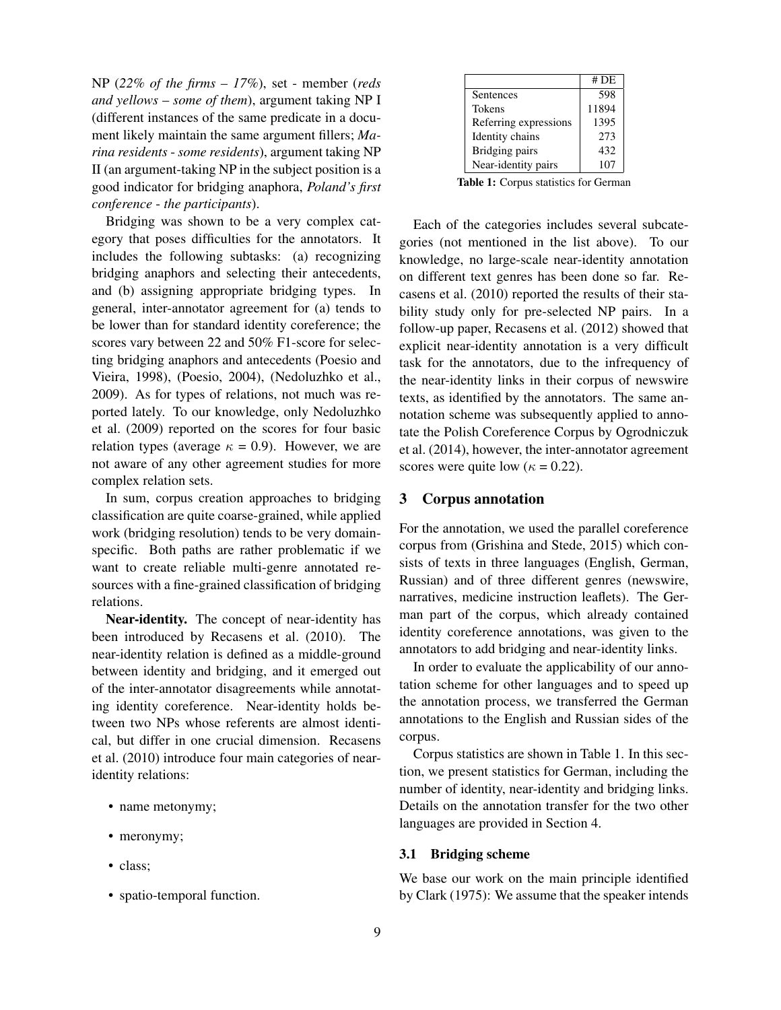NP (*22% of the firms* – *17%*), set - member (*reds and yellows* – *some of them*), argument taking NP I (different instances of the same predicate in a document likely maintain the same argument fillers; *Marina residents* - *some residents*), argument taking NP II (an argument-taking NP in the subject position is a good indicator for bridging anaphora, *Poland's first conference* - *the participants*).

Bridging was shown to be a very complex category that poses difficulties for the annotators. It includes the following subtasks: (a) recognizing bridging anaphors and selecting their antecedents, and (b) assigning appropriate bridging types. In general, inter-annotator agreement for (a) tends to be lower than for standard identity coreference; the scores vary between 22 and 50% F1-score for selecting bridging anaphors and antecedents (Poesio and Vieira, 1998), (Poesio, 2004), (Nedoluzhko et al., 2009). As for types of relations, not much was reported lately. To our knowledge, only Nedoluzhko et al. (2009) reported on the scores for four basic relation types (average  $\kappa = 0.9$ ). However, we are not aware of any other agreement studies for more complex relation sets.

In sum, corpus creation approaches to bridging classification are quite coarse-grained, while applied work (bridging resolution) tends to be very domainspecific. Both paths are rather problematic if we want to create reliable multi-genre annotated resources with a fine-grained classification of bridging relations.

Near-identity. The concept of near-identity has been introduced by Recasens et al. (2010). The near-identity relation is defined as a middle-ground between identity and bridging, and it emerged out of the inter-annotator disagreements while annotating identity coreference. Near-identity holds between two NPs whose referents are almost identical, but differ in one crucial dimension. Recasens et al. (2010) introduce four main categories of nearidentity relations:

- name metonymy;
- meronymy;
- class:
- spatio-temporal function.

|                       | # DE  |
|-----------------------|-------|
| Sentences             | 598   |
| Tokens                | 11894 |
| Referring expressions | 1395  |
| Identity chains       | 273   |
| Bridging pairs        | 432   |
| Near-identity pairs   | 107   |

Table 1: Corpus statistics for German

Each of the categories includes several subcategories (not mentioned in the list above). To our knowledge, no large-scale near-identity annotation on different text genres has been done so far. Recasens et al. (2010) reported the results of their stability study only for pre-selected NP pairs. In a follow-up paper, Recasens et al. (2012) showed that explicit near-identity annotation is a very difficult task for the annotators, due to the infrequency of the near-identity links in their corpus of newswire texts, as identified by the annotators. The same annotation scheme was subsequently applied to annotate the Polish Coreference Corpus by Ogrodniczuk et al. (2014), however, the inter-annotator agreement scores were quite low ( $\kappa = 0.22$ ).

#### 3 Corpus annotation

For the annotation, we used the parallel coreference corpus from (Grishina and Stede, 2015) which consists of texts in three languages (English, German, Russian) and of three different genres (newswire, narratives, medicine instruction leaflets). The German part of the corpus, which already contained identity coreference annotations, was given to the annotators to add bridging and near-identity links.

In order to evaluate the applicability of our annotation scheme for other languages and to speed up the annotation process, we transferred the German annotations to the English and Russian sides of the corpus.

Corpus statistics are shown in Table 1. In this section, we present statistics for German, including the number of identity, near-identity and bridging links. Details on the annotation transfer for the two other languages are provided in Section 4.

## 3.1 Bridging scheme

We base our work on the main principle identified by Clark (1975): We assume that the speaker intends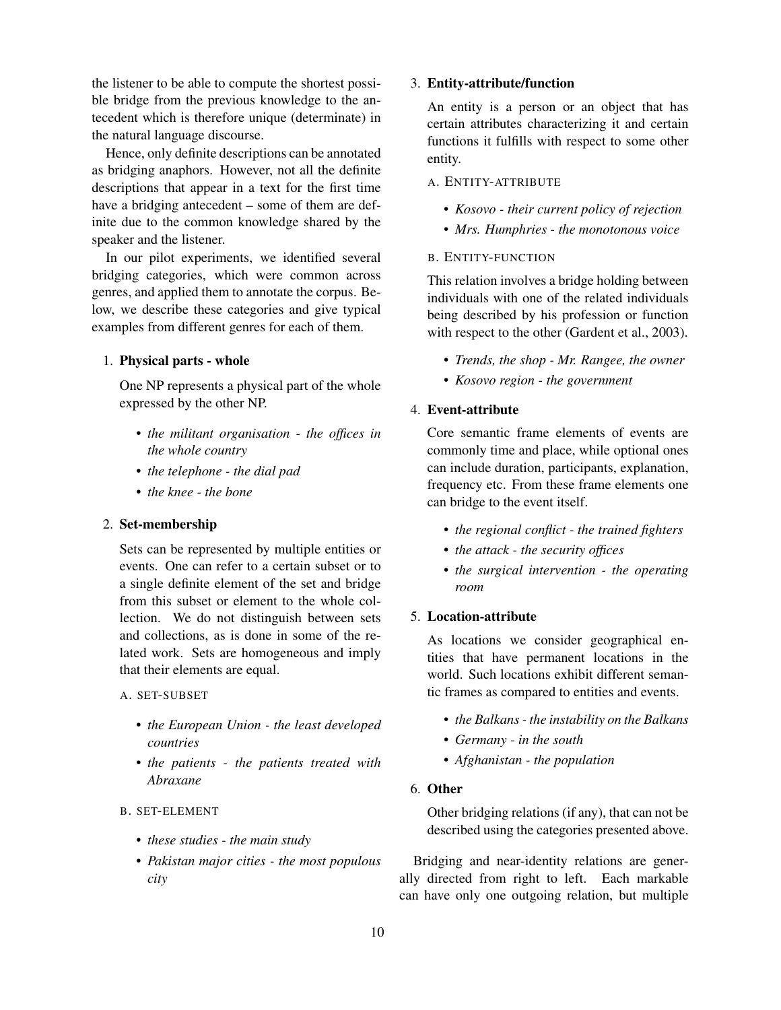the listener to be able to compute the shortest possible bridge from the previous knowledge to the antecedent which is therefore unique (determinate) in the natural language discourse.

Hence, only definite descriptions can be annotated as bridging anaphors. However, not all the definite descriptions that appear in a text for the first time have a bridging antecedent – some of them are definite due to the common knowledge shared by the speaker and the listener.

In our pilot experiments, we identified several bridging categories, which were common across genres, and applied them to annotate the corpus. Below, we describe these categories and give typical examples from different genres for each of them.

## 1. Physical parts - whole

One NP represents a physical part of the whole expressed by the other NP.

- *the militant organisation the offices in the whole country*
- *the telephone the dial pad*
- *the knee the bone*

### 2. Set-membership

Sets can be represented by multiple entities or events. One can refer to a certain subset or to a single definite element of the set and bridge from this subset or element to the whole collection. We do not distinguish between sets and collections, as is done in some of the related work. Sets are homogeneous and imply that their elements are equal.

## A. SET-SUBSET

- *the European Union the least developed countries*
- *the patients the patients treated with Abraxane*

### B. SET-ELEMENT

- *these studies the main study*
- *Pakistan major cities the most populous city*

## 3. Entity-attribute/function

An entity is a person or an object that has certain attributes characterizing it and certain functions it fulfills with respect to some other entity.

## A. ENTITY-ATTRIBUTE

- *Kosovo their current policy of rejection*
- *Mrs. Humphries the monotonous voice*

# B. ENTITY-FUNCTION

This relation involves a bridge holding between individuals with one of the related individuals being described by his profession or function with respect to the other (Gardent et al., 2003).

- *Trends, the shop Mr. Rangee, the owner*
- *Kosovo region the government*

# 4. Event-attribute

Core semantic frame elements of events are commonly time and place, while optional ones can include duration, participants, explanation, frequency etc. From these frame elements one can bridge to the event itself.

- *the regional conflict the trained fighters*
- *the attack the security offices*
- *the surgical intervention the operating room*

## 5. Location-attribute

As locations we consider geographical entities that have permanent locations in the world. Such locations exhibit different semantic frames as compared to entities and events.

- *the Balkans the instability on the Balkans*
- *Germany in the south*
- *Afghanistan the population*

## 6. Other

Other bridging relations (if any), that can not be described using the categories presented above.

Bridging and near-identity relations are generally directed from right to left. Each markable can have only one outgoing relation, but multiple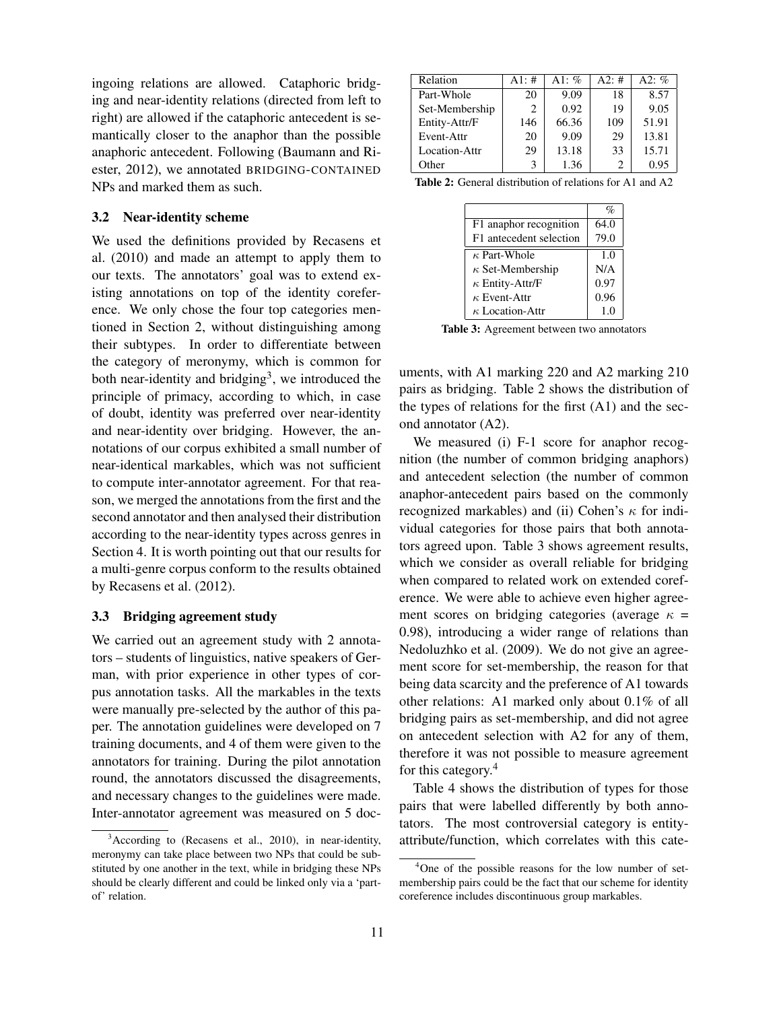ingoing relations are allowed. Cataphoric bridging and near-identity relations (directed from left to right) are allowed if the cataphoric antecedent is semantically closer to the anaphor than the possible anaphoric antecedent. Following (Baumann and Riester, 2012), we annotated BRIDGING-CONTAINED NPs and marked them as such.

# 3.2 Near-identity scheme

We used the definitions provided by Recasens et al. (2010) and made an attempt to apply them to our texts. The annotators' goal was to extend existing annotations on top of the identity coreference. We only chose the four top categories mentioned in Section 2, without distinguishing among their subtypes. In order to differentiate between the category of meronymy, which is common for both near-identity and bridging<sup>3</sup>, we introduced the principle of primacy, according to which, in case of doubt, identity was preferred over near-identity and near-identity over bridging. However, the annotations of our corpus exhibited a small number of near-identical markables, which was not sufficient to compute inter-annotator agreement. For that reason, we merged the annotations from the first and the second annotator and then analysed their distribution according to the near-identity types across genres in Section 4. It is worth pointing out that our results for a multi-genre corpus conform to the results obtained by Recasens et al. (2012).

### 3.3 Bridging agreement study

We carried out an agreement study with 2 annotators – students of linguistics, native speakers of German, with prior experience in other types of corpus annotation tasks. All the markables in the texts were manually pre-selected by the author of this paper. The annotation guidelines were developed on 7 training documents, and 4 of them were given to the annotators for training. During the pilot annotation round, the annotators discussed the disagreements, and necessary changes to the guidelines were made. Inter-annotator agreement was measured on 5 doc-

| Relation       | A1: $#$ | A1: $%$ | A2:# | A2: $\%$ |
|----------------|---------|---------|------|----------|
| Part-Whole     | 20      | 9.09    | 18   | 8.57     |
| Set-Membership | 2       | 0.92    | 19   | 9.05     |
| Entity-Attr/F  | 146     | 66.36   | 109  | 51.91    |
| Event-Attr     | 20      | 9.09    | 29   | 13.81    |
| Location-Attr  | 29      | 13.18   | 33   | 15.71    |
| Other          |         | 1.36    |      | 0.95     |

Table 2: General distribution of relations for A1 and A2

|                         | $\%$ |
|-------------------------|------|
| F1 anaphor recognition  | 64.0 |
| F1 antecedent selection | 79.0 |
| $\kappa$ Part-Whole     | 1.0  |
| $\kappa$ Set-Membership | N/A  |
| $\kappa$ Entity-Attr/F  | 0.97 |
| $\kappa$ Event-Attr     | 0.96 |
| $\kappa$ Location-Attr  | 1.0  |

Table 3: Agreement between two annotators

uments, with A1 marking 220 and A2 marking 210 pairs as bridging. Table 2 shows the distribution of the types of relations for the first  $(A1)$  and the second annotator (A2).

We measured (i) F-1 score for anaphor recognition (the number of common bridging anaphors) and antecedent selection (the number of common anaphor-antecedent pairs based on the commonly recognized markables) and (ii) Cohen's  $\kappa$  for individual categories for those pairs that both annotators agreed upon. Table 3 shows agreement results, which we consider as overall reliable for bridging when compared to related work on extended coreference. We were able to achieve even higher agreement scores on bridging categories (average  $\kappa$  = 0.98), introducing a wider range of relations than Nedoluzhko et al. (2009). We do not give an agreement score for set-membership, the reason for that being data scarcity and the preference of A1 towards other relations: A1 marked only about 0.1% of all bridging pairs as set-membership, and did not agree on antecedent selection with A2 for any of them, therefore it was not possible to measure agreement for this category.<sup>4</sup>

Table 4 shows the distribution of types for those pairs that were labelled differently by both annotators. The most controversial category is entityattribute/function, which correlates with this cate-

<sup>&</sup>lt;sup>3</sup>According to (Recasens et al., 2010), in near-identity, meronymy can take place between two NPs that could be substituted by one another in the text, while in bridging these NPs should be clearly different and could be linked only via a 'partof' relation.

<sup>4</sup>One of the possible reasons for the low number of setmembership pairs could be the fact that our scheme for identity coreference includes discontinuous group markables.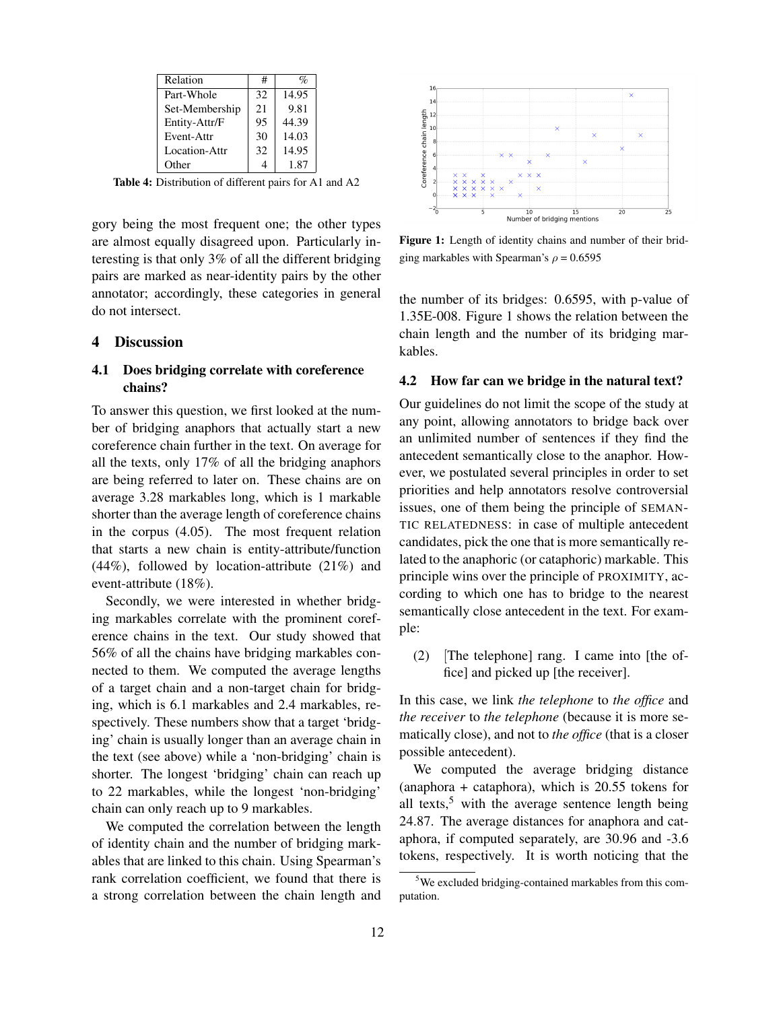| Relation       | #  | $\%$  |
|----------------|----|-------|
| Part-Whole     | 32 | 14.95 |
| Set-Membership | 21 | 9.81  |
| Entity-Attr/F  | 95 | 44.39 |
| Event-Attr     | 30 | 14.03 |
| Location-Attr  | 32 | 14.95 |
| Other          |    | 1.87  |

Table 4: Distribution of different pairs for A1 and A2

gory being the most frequent one; the other types are almost equally disagreed upon. Particularly interesting is that only 3% of all the different bridging pairs are marked as near-identity pairs by the other annotator; accordingly, these categories in general do not intersect.

#### 4 Discussion

# 4.1 Does bridging correlate with coreference chains?

To answer this question, we first looked at the number of bridging anaphors that actually start a new coreference chain further in the text. On average for all the texts, only 17% of all the bridging anaphors are being referred to later on. These chains are on average 3.28 markables long, which is 1 markable shorter than the average length of coreference chains in the corpus (4.05). The most frequent relation that starts a new chain is entity-attribute/function (44%), followed by location-attribute (21%) and event-attribute (18%).

Secondly, we were interested in whether bridging markables correlate with the prominent coreference chains in the text. Our study showed that 56% of all the chains have bridging markables connected to them. We computed the average lengths of a target chain and a non-target chain for bridging, which is 6.1 markables and 2.4 markables, respectively. These numbers show that a target 'bridging' chain is usually longer than an average chain in the text (see above) while a 'non-bridging' chain is shorter. The longest 'bridging' chain can reach up to 22 markables, while the longest 'non-bridging' chain can only reach up to 9 markables.

We computed the correlation between the length of identity chain and the number of bridging markables that are linked to this chain. Using Spearman's rank correlation coefficient, we found that there is a strong correlation between the chain length and



Figure 1: Length of identity chains and number of their bridging markables with Spearman's  $\rho = 0.6595$ 

the number of its bridges: 0.6595, with p-value of 1.35E-008. Figure 1 shows the relation between the chain length and the number of its bridging markables.

### 4.2 How far can we bridge in the natural text?

Our guidelines do not limit the scope of the study at any point, allowing annotators to bridge back over an unlimited number of sentences if they find the antecedent semantically close to the anaphor. However, we postulated several principles in order to set priorities and help annotators resolve controversial issues, one of them being the principle of SEMAN-TIC RELATEDNESS: in case of multiple antecedent candidates, pick the one that is more semantically related to the anaphoric (or cataphoric) markable. This principle wins over the principle of PROXIMITY, according to which one has to bridge to the nearest semantically close antecedent in the text. For example:

(2) [The telephone] rang. I came into [the office] and picked up [the receiver].

In this case, we link *the telephone* to *the office* and *the receiver* to *the telephone* (because it is more sematically close), and not to *the office* (that is a closer possible antecedent).

We computed the average bridging distance (anaphora + cataphora), which is 20.55 tokens for all texts, $5$  with the average sentence length being 24.87. The average distances for anaphora and cataphora, if computed separately, are 30.96 and -3.6 tokens, respectively. It is worth noticing that the

<sup>5</sup>We excluded bridging-contained markables from this computation.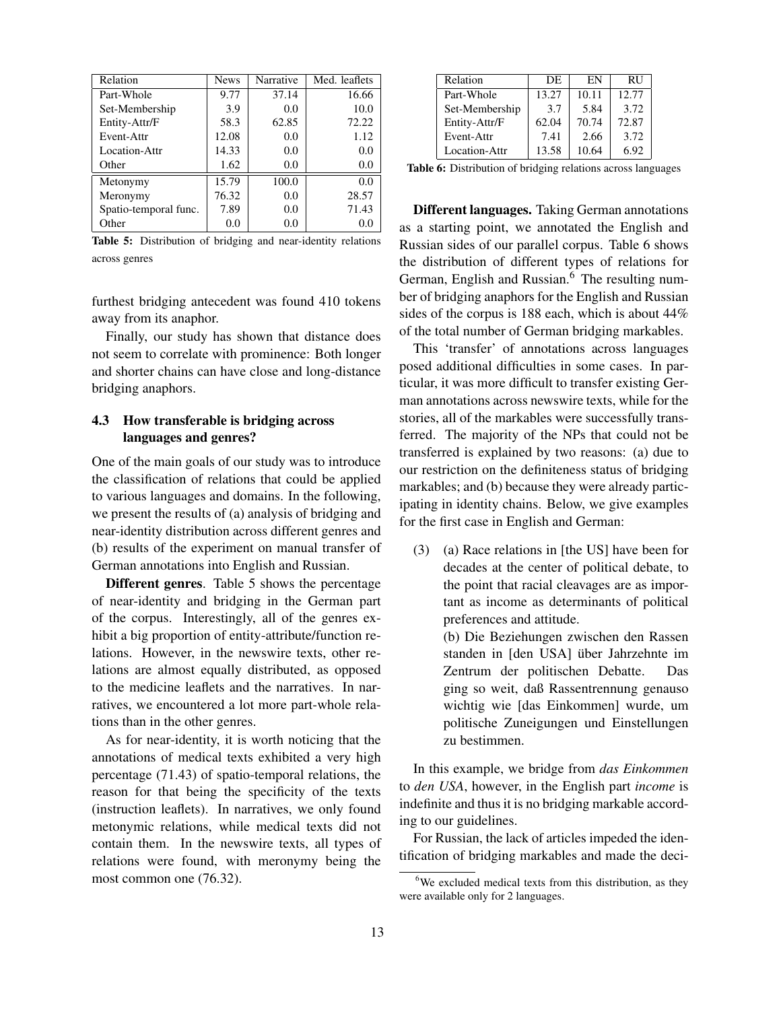| Relation              | <b>News</b> | Narrative | Med. leaflets |
|-----------------------|-------------|-----------|---------------|
| Part-Whole            | 9.77        | 37.14     | 16.66         |
| Set-Membership        | 3.9         | 0.0       | 10.0          |
| Entity-Attr/F         | 58.3        | 62.85     | 72.22         |
| Event-Attr            | 12.08       | 0.0       | 1.12          |
| Location-Attr         | 14.33       | 0.0       | 0.0           |
| Other                 | 1.62        | 0.0       | 0.0           |
| Metonymy              | 15.79       | 100.0     | 0.0           |
| Meronymy              | 76.32       | 0.0       | 28.57         |
| Spatio-temporal func. | 7.89        | 0.0       | 71.43         |
| Other                 | 0.0         | 0.0       | 0.0           |

Table 5: Distribution of bridging and near-identity relations across genres

furthest bridging antecedent was found 410 tokens away from its anaphor.

Finally, our study has shown that distance does not seem to correlate with prominence: Both longer and shorter chains can have close and long-distance bridging anaphors.

# 4.3 How transferable is bridging across languages and genres?

One of the main goals of our study was to introduce the classification of relations that could be applied to various languages and domains. In the following, we present the results of (a) analysis of bridging and near-identity distribution across different genres and (b) results of the experiment on manual transfer of German annotations into English and Russian.

Different genres. Table 5 shows the percentage of near-identity and bridging in the German part of the corpus. Interestingly, all of the genres exhibit a big proportion of entity-attribute/function relations. However, in the newswire texts, other relations are almost equally distributed, as opposed to the medicine leaflets and the narratives. In narratives, we encountered a lot more part-whole relations than in the other genres.

As for near-identity, it is worth noticing that the annotations of medical texts exhibited a very high percentage (71.43) of spatio-temporal relations, the reason for that being the specificity of the texts (instruction leaflets). In narratives, we only found metonymic relations, while medical texts did not contain them. In the newswire texts, all types of relations were found, with meronymy being the most common one (76.32).

| Relation       | DE.   | EN    | <b>RU</b> |
|----------------|-------|-------|-----------|
| Part-Whole     | 13.27 | 10.11 | 12.77     |
| Set-Membership | 3.7   | 5.84  | 3.72      |
| Entity-Attr/F  | 62.04 | 70.74 | 72.87     |
| Event-Attr     | 7.41  | 2.66  | 3.72      |
| Location-Attr  | 13.58 | 10.64 | 6.92      |

Table 6: Distribution of bridging relations across languages

Different languages. Taking German annotations as a starting point, we annotated the English and Russian sides of our parallel corpus. Table 6 shows the distribution of different types of relations for German, English and Russian.<sup>6</sup> The resulting number of bridging anaphors for the English and Russian sides of the corpus is 188 each, which is about 44% of the total number of German bridging markables.

This 'transfer' of annotations across languages posed additional difficulties in some cases. In particular, it was more difficult to transfer existing German annotations across newswire texts, while for the stories, all of the markables were successfully transferred. The majority of the NPs that could not be transferred is explained by two reasons: (a) due to our restriction on the definiteness status of bridging markables; and (b) because they were already participating in identity chains. Below, we give examples for the first case in English and German:

(3) (a) Race relations in [the US] have been for decades at the center of political debate, to the point that racial cleavages are as important as income as determinants of political preferences and attitude.

(b) Die Beziehungen zwischen den Rassen standen in [den USA] über Jahrzehnte im Zentrum der politischen Debatte. Das ging so weit, daß Rassentrennung genauso wichtig wie [das Einkommen] wurde, um politische Zuneigungen und Einstellungen zu bestimmen.

In this example, we bridge from *das Einkommen* to *den USA*, however, in the English part *income* is indefinite and thus it is no bridging markable according to our guidelines.

For Russian, the lack of articles impeded the identification of bridging markables and made the deci-

 $6$ We excluded medical texts from this distribution, as they were available only for 2 languages.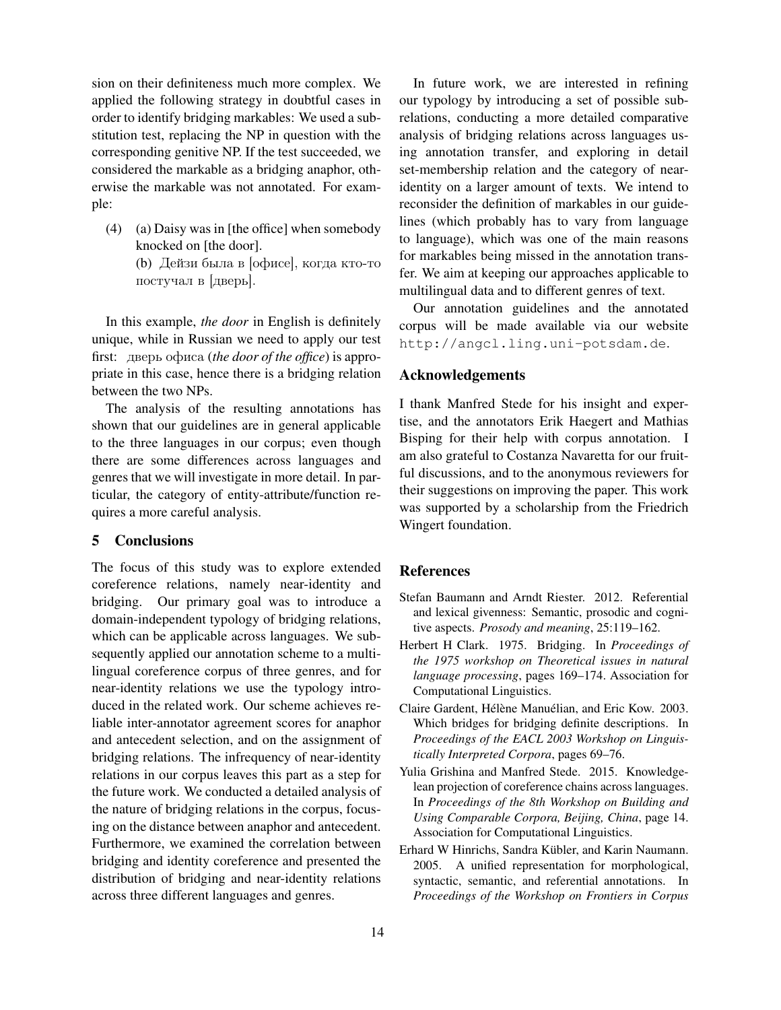sion on their definiteness much more complex. We applied the following strategy in doubtful cases in order to identify bridging markables: We used a substitution test, replacing the NP in question with the corresponding genitive NP. If the test succeeded, we considered the markable as a bridging anaphor, otherwise the markable was not annotated. For example:

(4) (a) Daisy was in [the office] when somebody knocked on [the door]. (b) Дейзи была в [офисе], когда кто-то постучал в [дверь].

In this example, *the door* in English is definitely unique, while in Russian we need to apply our test first: дверь офиса (*the door of the office*) is appropriate in this case, hence there is a bridging relation between the two NPs.

The analysis of the resulting annotations has shown that our guidelines are in general applicable to the three languages in our corpus; even though there are some differences across languages and genres that we will investigate in more detail. In particular, the category of entity-attribute/function requires a more careful analysis.

#### 5 Conclusions

The focus of this study was to explore extended coreference relations, namely near-identity and bridging. Our primary goal was to introduce a domain-independent typology of bridging relations, which can be applicable across languages. We subsequently applied our annotation scheme to a multilingual coreference corpus of three genres, and for near-identity relations we use the typology introduced in the related work. Our scheme achieves reliable inter-annotator agreement scores for anaphor and antecedent selection, and on the assignment of bridging relations. The infrequency of near-identity relations in our corpus leaves this part as a step for the future work. We conducted a detailed analysis of the nature of bridging relations in the corpus, focusing on the distance between anaphor and antecedent. Furthermore, we examined the correlation between bridging and identity coreference and presented the distribution of bridging and near-identity relations across three different languages and genres.

In future work, we are interested in refining our typology by introducing a set of possible subrelations, conducting a more detailed comparative analysis of bridging relations across languages using annotation transfer, and exploring in detail set-membership relation and the category of nearidentity on a larger amount of texts. We intend to reconsider the definition of markables in our guidelines (which probably has to vary from language to language), which was one of the main reasons for markables being missed in the annotation transfer. We aim at keeping our approaches applicable to multilingual data and to different genres of text.

Our annotation guidelines and the annotated corpus will be made available via our website http://angcl.ling.uni-potsdam.de.

## Acknowledgements

I thank Manfred Stede for his insight and expertise, and the annotators Erik Haegert and Mathias Bisping for their help with corpus annotation. I am also grateful to Costanza Navaretta for our fruitful discussions, and to the anonymous reviewers for their suggestions on improving the paper. This work was supported by a scholarship from the Friedrich Wingert foundation.

## References

- Stefan Baumann and Arndt Riester. 2012. Referential and lexical givenness: Semantic, prosodic and cognitive aspects. *Prosody and meaning*, 25:119–162.
- Herbert H Clark. 1975. Bridging. In *Proceedings of the 1975 workshop on Theoretical issues in natural language processing*, pages 169–174. Association for Computational Linguistics.
- Claire Gardent, Hélène Manuélian, and Eric Kow. 2003. Which bridges for bridging definite descriptions. In *Proceedings of the EACL 2003 Workshop on Linguistically Interpreted Corpora*, pages 69–76.
- Yulia Grishina and Manfred Stede. 2015. Knowledgelean projection of coreference chains across languages. In *Proceedings of the 8th Workshop on Building and Using Comparable Corpora, Beijing, China*, page 14. Association for Computational Linguistics.
- Erhard W Hinrichs, Sandra Kübler, and Karin Naumann. 2005. A unified representation for morphological, syntactic, semantic, and referential annotations. In *Proceedings of the Workshop on Frontiers in Corpus*